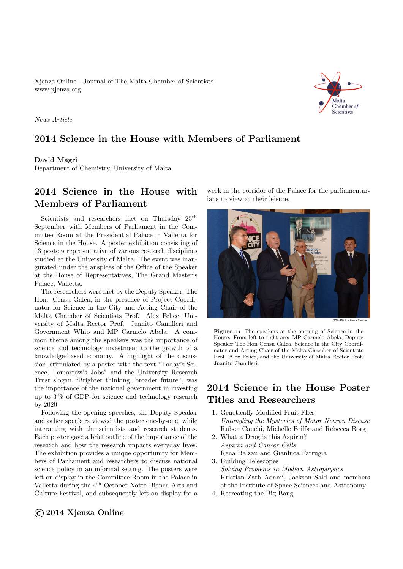Xjenza Online - Journal of The Malta Chamber of Scientists <www.xjenza.org>

Chamber of Scientists

News Article

### 2014 Science in the House with Members of Parliament

#### David Magri

Department of Chemistry, University of Malta

# 2014 Science in the House with Members of Parliament

Scientists and researchers met on Thursday  $25<sup>th</sup>$ September with Members of Parliament in the Committee Room at the Presidential Palace in Valletta for Science in the House. A poster exhibition consisting of 13 posters representative of various research disciplines studied at the University of Malta. The event was inaugurated under the auspices of the Office of the Speaker at the House of Representatives, The Grand Master's Palace, Valletta.

The researchers were met by the Deputy Speaker, The Hon. Censu Galea, in the presence of Project Coordinator for Science in the City and Acting Chair of the Malta Chamber of Scientists Prof. Alex Felice, University of Malta Rector Prof. Juanito Camilleri and Government Whip and MP Carmelo Abela. A common theme among the speakers was the importance of science and technology investment to the growth of a knowledge-based economy. A highlight of the discussion, stimulated by a poster with the text "Today's Science, Tomorrow's Jobs" and the University Research Trust slogan "Brighter thinking, broader future", was the importance of the national government in investing up to 3 % of GDP for science and technology research by 2020.

Following the opening speeches, the Deputy Speaker and other speakers viewed the poster one-by-one, while interacting with the scientists and research students. Each poster gave a brief outline of the importance of the research and how the research impacts everyday lives. The exhibition provides a unique opportunity for Members of Parliament and researchers to discuss national science policy in an informal setting. The posters were left on display in the Committee Room in the Palace in Valletta during the 4<sup>th</sup> October Notte Bianca Arts and Culture Festival, and subsequently left on display for a week in the corridor of the Palace for the parliamentarians to view at their leisure.



Figure 1: The speakers at the opening of Science in the House. From left to right are: MP Carmelo Abela, Deputy Speaker The Hon Censu Galea, Science in the City Coordinator and Acting Chair of the Malta Chamber of Scientists Prof. Alex Felice, and the University of Malta Rector Prof. Juanito Camilleri.

# 2014 Science in the House Poster Titles and Researchers

- 1. Genetically Modified Fruit Flies Untangling the Mysteries of Motor Neuron Disease Ruben Cauchi, Michelle Briffa and Rebecca Borg
- 2. What a Drug is this Aspirin? Aspirin and Cancer Cells Rena Balzan and Gianluca Farrugia
- 3. Building Telescopes Solving Problems in Modern Astrophysics Kristian Zarb Adami, Jackson Said and members of the Institute of Space Sciences and Astronomy
- 4. Recreating the Big Bang

#### ©2014 Xjenza Online